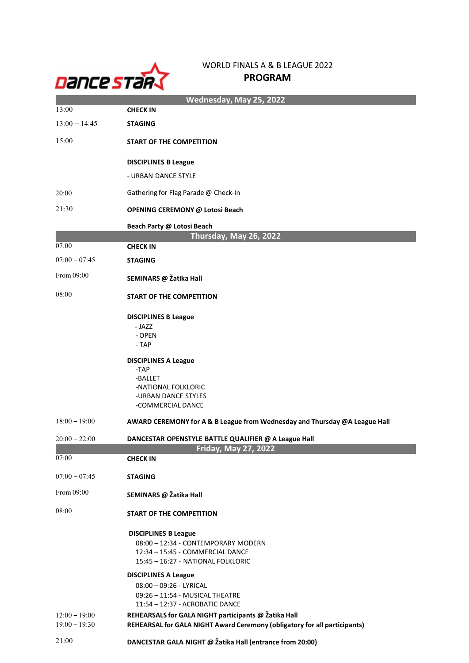

## WORLD FINALS A & B LEAGUE 2022 PROGRAM

| Wednesday, May 25, 2022 |                                                                            |  |
|-------------------------|----------------------------------------------------------------------------|--|
| 13:00                   | <b>CHECK IN</b>                                                            |  |
| $13:00 - 14:45$         | <b>STAGING</b>                                                             |  |
| 15:00                   | <b>START OF THE COMPETITION</b>                                            |  |
|                         | <b>DISCIPLINES B League</b>                                                |  |
|                         | - URBAN DANCE STYLE                                                        |  |
| 20:00                   | Gathering for Flag Parade @ Check-In                                       |  |
| 21:30                   | <b>OPENING CEREMONY @ Lotosi Beach</b>                                     |  |
|                         | Beach Party @ Lotosi Beach                                                 |  |
|                         | Thursday, May 26, 2022                                                     |  |
| 07:00                   | <b>CHECK IN</b>                                                            |  |
| $07:00 - 07:45$         | <b>STAGING</b>                                                             |  |
| From 09:00              | SEMINARS @ Žatika Hall                                                     |  |
| 08:00                   | <b>START OF THE COMPETITION</b>                                            |  |
|                         | <b>DISCIPLINES B League</b>                                                |  |
|                         | - JAZZ                                                                     |  |
|                         | - OPEN<br>- TAP                                                            |  |
|                         | <b>DISCIPLINES A League</b>                                                |  |
|                         | -TAP                                                                       |  |
|                         | -BALLET                                                                    |  |
|                         | -NATIONAL FOLKLORIC<br>-URBAN DANCE STYLES                                 |  |
|                         | -COMMERCIAL DANCE                                                          |  |
| $18:00 - 19:00$         | AWARD CEREMONY for A & B League from Wednesday and Thursday @A League Hall |  |
| $20:00 - 22:00$         | DANCESTAR OPENSTYLE BATTLE QUALIFIER @ A League Hall                       |  |
|                         | Friday, May 27, 2022                                                       |  |
| 07:00                   | <b>CHECK IN</b>                                                            |  |
| $07:00 - 07:45$         | <b>STAGING</b>                                                             |  |
| From 09:00              | SEMINARS @ Žatika Hall                                                     |  |
| 08:00                   | <b>START OF THE COMPETITION</b>                                            |  |
|                         | <b>DISCIPLINES B League</b>                                                |  |
|                         | 08:00 - 12:34 - CONTEMPORARY MODERN                                        |  |
|                         | 12:34 - 15:45 - COMMERCIAL DANCE                                           |  |
|                         | 15:45 - 16:27 - NATIONAL FOLKLORIC                                         |  |
|                         | <b>DISCIPLINES A League</b>                                                |  |
|                         | 08:00 - 09:26 - LYRICAL                                                    |  |
|                         | 09:26 - 11:54 - MUSICAL THEATRE<br>11:54 - 12:37 - ACROBATIC DANCE         |  |
| $12:00 - 19:00$         | REHEARSALS for GALA NIGHT participants @ Žatika Hall                       |  |
| $19:00 - 19:30$         | REHEARSAL for GALA NIGHT Award Ceremony (obligatory for all participants)  |  |
| 21.00                   |                                                                            |  |

<sup>21:00</sup> DANCESTAR GALA NIGHT @ Žatika Hall (entrance from 20:00)